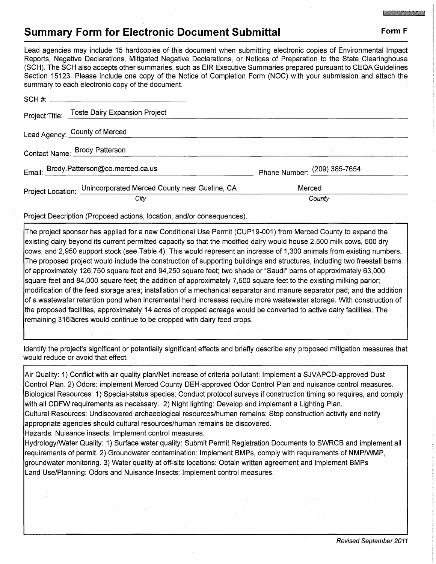## **Summary Form for Electronic Document Submittal Form F Form F**

Lead agencies may include 15 hardcopies of this document when submitting electronic copies of Environmental Impact Reports, Negative Declarations, Mitigated Negative Declarations, or Notices of Preparation to the State Clearinghouse (SCH). The SCH also accepts other summaries, such as EIR Executive Summaries prepared pursuant to CEQA Guidelines Section 15123. Please include one copy of the Notice of Completion Form (NOC) with your submission and attach the summary to each electronic copy of the document.

| Phone Number: (209) 385-7654                                                                                                                                                                                           |  |
|------------------------------------------------------------------------------------------------------------------------------------------------------------------------------------------------------------------------|--|
| Merced                                                                                                                                                                                                                 |  |
| County                                                                                                                                                                                                                 |  |
| <b>Dammary to cabit croad only oply of the abouthont.</b><br>Project Title: Toste Dairy Expansion Project<br>Email: Brody.Patterson@co.merced.ca.us<br>Project Location: Unincorporated Merced County near Gustine, CA |  |

Project Description (Proposed actions, location, and/or consequences).

The project sponsor has applied for a new Conditional Use Permit (CUP19-001) from Merced County to expand the existing dairy beyond its current permitted capacity so that the modified dairy would house 2,500 milk cows, 500 dry cows, and 2,950 support stock (see Table 4). This would represent an increase of 1,300 animals from existing numbers. The proposed project would include the construction of supporting buildings and structures, including two freestall barns of approximately 126,750 square feet and 94,250 square feet; two shade or "Saudi" barns of approximately 63,000 square feet and 84,000 square feet; the addition of approximately 7,500 square feet to the existing milking parlor; modification of the feed storage area; installation of a mechanical separator and manure separator pad; and the addition of a wastewater retention pond when incremental herd increases require more wastewater storage. With construction of the proposed facilities, approximately 14 acres of cropped acreage would be converted to active dairy facilities. The remaining 316<sub>acres</sub> would continue to be cropped with dairy feed crops.

Identify the project's significant or potentiaily significant effects and briefly describe any proposed mitigation measures that would reduce or avoid that effect.

Air Quality: 1) Conflict with air quality plan/Net increase of criteria pollutant: Implement a SJVAPCD-approved Dust Control Plan. 2) Odors: implement Merced County DEH-approved Odor Control Plan and nuisance control measures. Biological Resources: 1) Special-status species: Conduct protocol surveys if construction timing so requires, and comply with all CDFW requirements as necessary. 2) Night lighting: Develop and implement a Lighting Plan. Cultural Resources: Undiscovered archaeological resources/human remains: Stop construction activity and notify appropriate agencies should cultural resources/human remains be discovered. Hazards: Nuisance insects: Implement control measures.

Hydrology/Water Quality: 1) Surface water quality: Submit Permit Registration Documents to SWRCB and implement all requirements of permit. 2) Groundwater contamination: Implement BMPs, comply with requirements of NMP/WMP, groundwater monitoring. 3) Water quality at off-site locations: Obtain written agreement and implement BMPs Land Use/Planning: Odors and Nuisance Insects: Implement control measures.